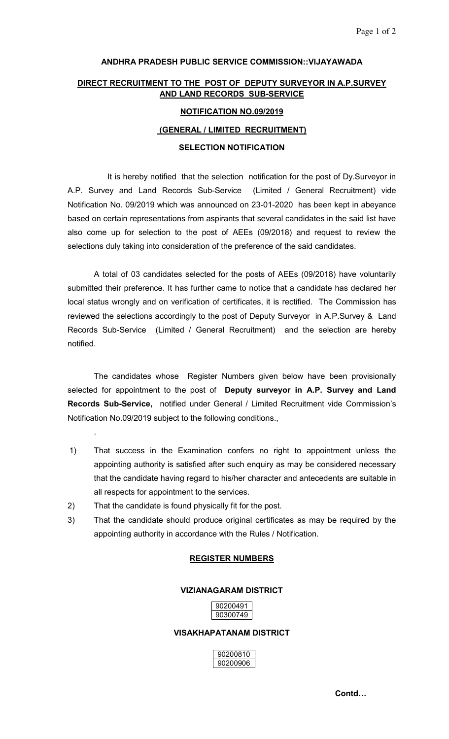# **DIRECT RECRUITMENT TO THE POST OF DEPUTY SURVEYOR IN A.P.SURVEY AND LAND RECORDS SUB-SERVICE**

**ANDHRA PRADESH PUBLIC SERVICE COMMISSION::VIJAYAWADA** 

# **NOTIFICATION NO.09/2019 (GENERAL / LIMITED RECRUITMENT)**

# **SELECTION NOTIFICATION**

 It is hereby notified that the selection notification for the post of Dy.Surveyor in A.P. Survey and Land Records Sub-Service (Limited / General Recruitment) vide Notification No. 09/2019 which was announced on 23-01-2020 has been kept in abeyance based on certain representations from aspirants that several candidates in the said list have also come up for selection to the post of AEEs (09/2018) and request to review the selections duly taking into consideration of the preference of the said candidates.

A total of 03 candidates selected for the posts of AEEs (09/2018) have voluntarily submitted their preference. It has further came to notice that a candidate has declared her local status wrongly and on verification of certificates, it is rectified. The Commission has reviewed the selections accordingly to the post of Deputy Surveyor in A.P.Survey & Land Records Sub-Service (Limited / General Recruitment) and the selection are hereby notified.

 The candidates whose Register Numbers given below have been provisionally selected for appointment to the post of **Deputy surveyor in A.P. Survey and Land Records Sub-Service,** notified under General / Limited Recruitment vide Commission's Notification No.09/2019 subject to the following conditions.,

- 1) That success in the Examination confers no right to appointment unless the appointing authority is satisfied after such enquiry as may be considered necessary that the candidate having regard to his/her character and antecedents are suitable in all respects for appointment to the services.
- 2) That the candidate is found physically fit for the post.

.

3) That the candidate should produce original certificates as may be required by the appointing authority in accordance with the Rules / Notification.

# **REGISTER NUMBERS**

## **VIZIANAGARAM DISTRICT**

| 90200491 |  |
|----------|--|
| 90300749 |  |

## **VISAKHAPATANAM DISTRICT**